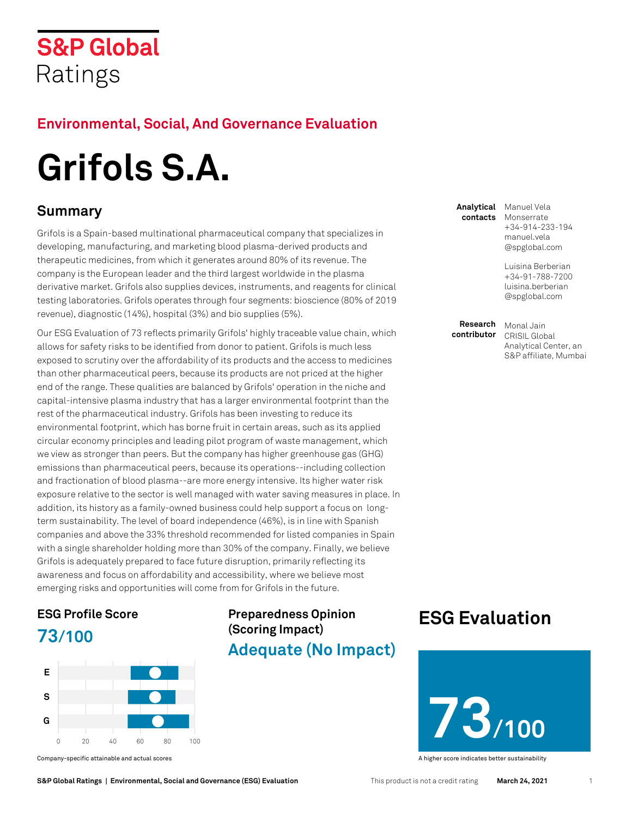### **S&P Global** Ratings

#### **Environmental, Social, And Governance Evaluation**

# **Grifols S.A. Summary**

Grifols is a Spain-based multinational pharmaceutical company that specializes in developing, manufacturing, and marketing blood plasma-derived products and therapeutic medicines, from which it generates around 80% of its revenue. The company is the European leader and the third largest worldwide in the plasma derivative market. Grifols also supplies devices, instruments, and reagents for clinical testing laboratories. Grifols operates through four segments: bioscience (80% of 2019 revenue), diagnostic (14%), hospital (3%) and bio supplies (5%).

Our ESG Evaluation of 73 reflects primarily Grifols' highly traceable value chain, which allows for safety risks to be identified from donor to patient. Grifols is much less exposed to scrutiny over the affordability of its products and the access to medicines than other pharmaceutical peers, because its products are not priced at the higher end of the range. These qualities are balanced by Grifols' operation in the niche and capital-intensive plasma industry that has a larger environmental footprint than the rest of the pharmaceutical industry. Grifols has been investing to reduce its environmental footprint, which has borne fruit in certain areas, such as its applied circular economy principles and leading pilot program of waste management, which we view as stronger than peers. But the company has higher greenhouse gas (GHG) emissions than pharmaceutical peers, because its operations--including collection and fractionation of blood plasma--are more energy intensive. Its higher water risk exposure relative to the sector is well managed with water saving measures in place. In addition, its history as a family-owned business could help support a focus on longterm sustainability. The level of board independence (46%), is in line with Spanish companies and above the 33% threshold recommended for listed companies in Spain with a single shareholder holding more than 30% of the company. Finally, we believe Grifols is adequately prepared to face future disruption, primarily reflecting its awareness and focus on affordability and accessibility, where we believe most emerging risks and opportunities will come from for Grifols in the future.

### **ESG [Profile Score](#page-2-0) 73/100**



Company-specific attainable and actual scores A higher score indicates better sustainability

### **Preparedness Opinion (Scoring Impact)**

**Adequate (No Impact)**

**Analytical contacts**

Manuel Vela Monserrate +34-914-233-194 [manuel.vela](mailto:manuel.vela@spglobal.com) [@spglobal.com](mailto:manuel.vela@spglobal.com)

Luisina Berberian +34-91-788-7200 [luisina.berberian](mailto:luisina.berberian@spglobal.com) [@spglobal.com](mailto:luisina.berberian@spglobal.com)

**Research contributor**

Monal Jain CRISIL Global Analytical Center, an S&P affiliate, Mumbai

### **[ESG Evaluation](#page-1-0)**

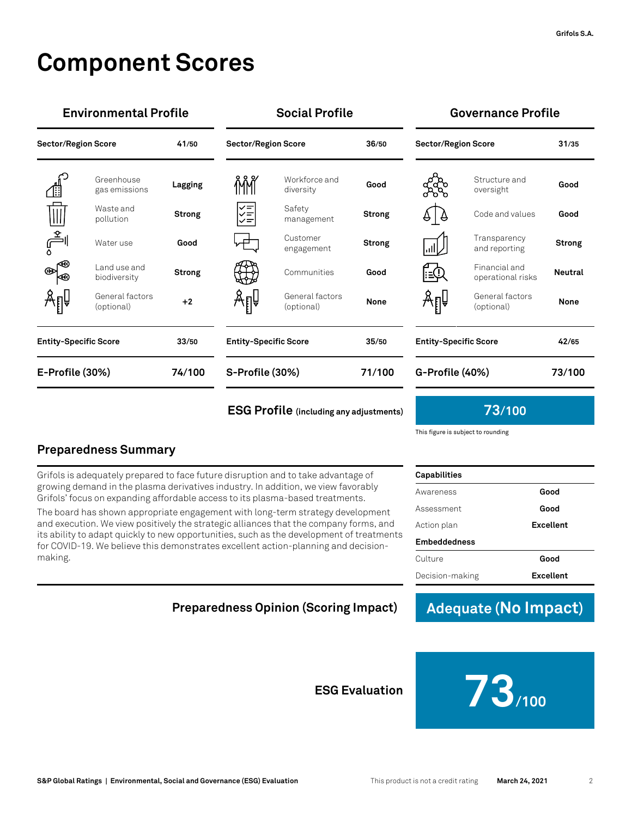### **Component Scores**

| <b>Environmental Profile</b> |                               |               | <b>Social Profile</b>        |                               |               | Governance Profile           |                                    |                |
|------------------------------|-------------------------------|---------------|------------------------------|-------------------------------|---------------|------------------------------|------------------------------------|----------------|
| <b>Sector/Region Score</b>   |                               | 41/50         | <b>Sector/Region Score</b>   |                               | 36/50         | <b>Sector/Region Score</b>   |                                    | 31/35          |
| <u>∕</u> ∰                   | Greenhouse<br>gas emissions   | Lagging       | ΜŇ                           | Workforce and<br>diversity    | Good          | ళ్లస్ట్రీ                    | Structure and<br>oversight         | Good           |
| $\overline{\mathbb{H}}$      | Waste and<br>pollution        | <b>Strong</b> | $\frac{1}{\sqrt{2}}$         | Safety<br>management          | <b>Strong</b> | 4∐∂                          | Code and values                    | Good           |
| اڪِ                          | Water use                     | Good          | 亡                            | Customer<br>engagement        | <b>Strong</b> | اا⊪ا                         | Transparency<br>and reporting      | <b>Strong</b>  |
| $\circledast$<br>Κ⊛          | Land use and<br>biodiversity  | <b>Strong</b> | ₩                            | Communities                   | Good          | F≘Ω                          | Financial and<br>operational risks | <b>Neutral</b> |
| Åℿ                           | General factors<br>(optional) | $+2$          | Åℿ                           | General factors<br>(optional) | <b>None</b>   | Åℿ                           | General factors<br>(optional)      | <b>None</b>    |
| <b>Entity-Specific Score</b> |                               | 33/50         | <b>Entity-Specific Score</b> |                               | 35/50         | <b>Entity-Specific Score</b> |                                    | 42/65          |
| E-Profile (30%)              |                               | 74/100        | S-Profile (30%)              |                               | 71/100        | G-Profile (40%)              |                                    | 73/100         |
|                              |                               |               |                              |                               |               |                              |                                    |                |

#### **[ESG Profile](#page-2-0) (including any a[djustments\)](#page-2-0) 73/100**

#### **Environmental Profile Social Profile Governance Profile**

|                              | aunurat rauturu<br>(optional)      | None      |
|------------------------------|------------------------------------|-----------|
| <b>Entity-Specific Score</b> | 42/65                              |           |
| G-Profile (40%)              |                                    | 73/100    |
|                              | 73/100                             |           |
|                              | This figure is subject to rounding |           |
| Capabilities                 |                                    |           |
| Awareness                    |                                    | Good      |
| Assessment                   |                                    | Good      |
| Action plan                  |                                    | Excellent |

#### **Preparedness Summary**

L.

Grifols is adequately prepared to face future disruption and to take advantage of growing demand in the plasma derivatives industry. In addition, we view favorably Grifols' focus on expanding affordable access to its plasma-based treatments.

The board has shown appropriate engagement with long-term strategy development and execution. We view positively the strategic alliances that the company forms, and its ability to adapt quickly to new opportunities, such as the development of treatments for COVID-19. We believe this demonstrates excellent action-planning and decisionmaking.

#### <span id="page-1-0"></span>**Preparedness Opinion (Scoring Impact) Adequate (No Impact)**

Culture **Good** Decision-making **Excellent**

**Embeddedness**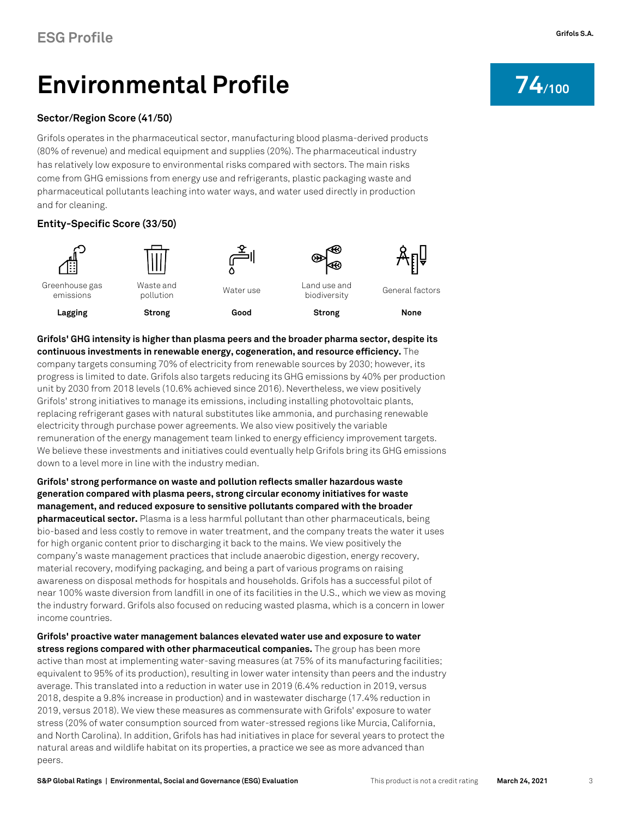# <span id="page-2-0"></span>Environmental Profile **74**/100

#### **[Sector/Region Score](#page-9-0) (41/50)**

Grifols operates in the pharmaceutical sector, manufacturing blood plasma-derived products (80% of revenue) and medical equipment and supplies (20%). The pharmaceutical industry has relatively low exposure to environmental risks compared with sectors. The main risks come from GHG emissions from energy use and refrigerants, plastic packaging waste and pharmaceutical pollutants leaching into water ways, and water used directly in production and for cleaning.

#### **Entity-Specific Score (33/50)**



<span id="page-2-1"></span>**Grifols' GHG intensity is higher than plasma peers and the broader pharma sector, despite its continuous investments in renewable energy, cogeneration, and resource efficiency.** The company targets consuming 70% of electricity from renewable sources by 2030; however, its progress is limited to date. Grifols also targets reducing its GHG emissions by 40% per production unit by 2030 from 2018 levels (10.6% achieved since 2016). Nevertheless, we view positively Grifols' strong initiatives to manage its emissions, including installing photovoltaic plants, replacing refrigerant gases with natural substitutes like ammonia, and purchasing renewable electricity through purchase power agreements. We also view positively the variable remuneration of the energy management team linked to energy efficiency improvement targets. We believe these investments and initiatives could eventually help Grifols bring its GHG emissions down to a level more in line with the industry median.

**Grifols' strong performance on waste and pollution reflects smaller hazardous waste generation compared with plasma peers, strong circular economy initiatives for waste management, and reduced exposure to sensitive pollutants compared with the broader pharmaceutical sector.** Plasma is a less harmful pollutant than other pharmaceuticals, being bio-based and less costly to remove in water treatment, and the company treats the water it uses for high organic content prior to discharging it back to the mains. We view positively the company's waste management practices that include anaerobic digestion, energy recovery, material recovery, modifying packaging, and being a part of various programs on raising awareness on disposal methods for hospitals and households. Grifols has a successful pilot of near 100% waste diversion from landfill in one of its facilities in the U.S., which we view as moving the industry forward. Grifols also focused on reducing wasted plasma, which is a concern in lower income countries.

**Grifols' proactive water management balances elevated water use and exposure to water stress regions compared with other pharmaceutical companies.** The group has been more active than most at implementing water-saving measures (at 75% of its manufacturing facilities; equivalent to 95% of its production), resulting in lower water intensity than peers and the industry average. This translated into a reduction in water use in 2019 (6.4% reduction in 2019, versus 2018, despite a 9.8% increase in production) and in wastewater discharge (17.4% reduction in 2019, versus 2018). We view these measures as commensurate with Grifols' exposure to water stress (20% of water consumption sourced from water-stressed regions like Murcia, California, and North Carolina). In addition, Grifols has had initiatives in place for several years to protect the natural areas and wildlife habitat on its properties, a practice we see as more advanced than peers.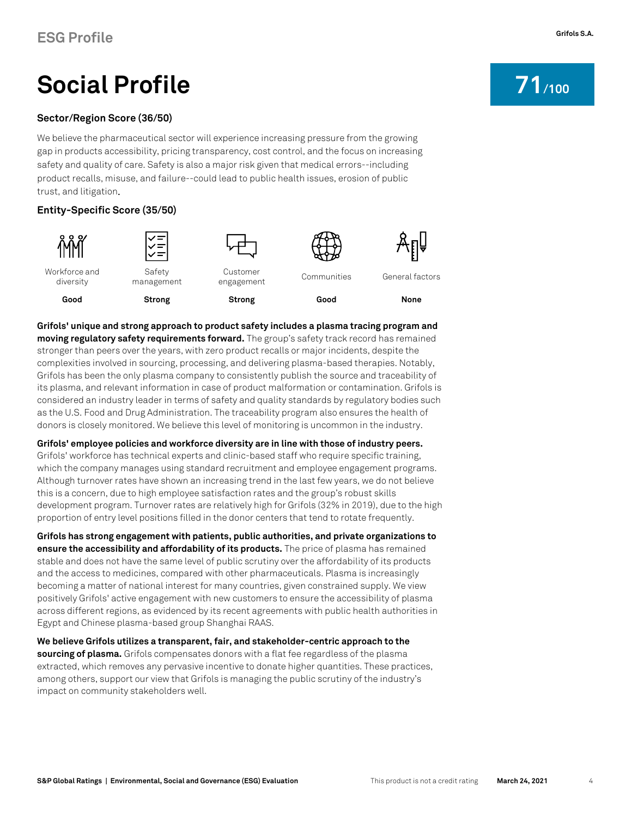# **Social Profile 21** 100

#### **[Sector/Region Score](#page-9-0) (36/50)**

We believe the pharmaceutical sector will experience increasing pressure from the growing gap in products accessibility, pricing transparency, cost control, and the focus on increasing safety and quality of care. Safety is also a major risk given that medical errors--including product recalls, misuse, and failure--could lead to public health issues, erosion of public trust, and litigation.

#### **Entity-Specific Score (35/50)**



**Grifols' unique and strong approach to product safety includes a plasma tracing program and moving regulatory safety requirements forward.** The group's safety track record has remained stronger than peers over the years, with zero product recalls or major incidents, despite the complexities involved in sourcing, processing, and delivering plasma-based therapies. Notably, Grifols has been the only plasma company to consistently publish the source and traceability of its plasma, and relevant information in case of product malformation or contamination. Grifols is considered an industry leader in terms of safety and quality standards by regulatory bodies such as the U.S. Food and Drug Administration. The traceability program also ensures the health of donors is closely monitored. We believe this level of monitoring is uncommon in the industry.

**Grifols' employee policies and workforce diversity are in line with those of industry peers.** Grifols' workforce has technical experts and clinic-based staff who require specific training, which the company manages using standard recruitment and employee engagement programs. Although turnover rates have shown an increasing trend in the last few years, we do not believe this is a concern, due to high employee satisfaction rates and the group's robust skills development program. Turnover rates are relatively high for Grifols (32% in 2019), due to the high proportion of entry level positions filled in the donor centers that tend to rotate frequently.

**Grifols has strong engagement with patients, public authorities, and private organizations to ensure the accessibility and affordability of its products.** The price of plasma has remained stable and does not have the same level of public scrutiny over the affordability of its products and the access to medicines, compared with other pharmaceuticals. Plasma is increasingly becoming a matter of national interest for many countries, given constrained supply. We view positively Grifols' active engagement with new customers to ensure the accessibility of plasma across different regions, as evidenced by its recent agreements with public health authorities in Egypt and Chinese plasma-based group Shanghai RAAS.

**We believe Grifols utilizes a transparent, fair, and stakeholder-centric approach to the sourcing of plasma.** Grifols compensates donors with a flat fee regardless of the plasma extracted, which removes any pervasive incentive to donate higher quantities. These practices, among others, support our view that Grifols is managing the public scrutiny of the industry's impact on community stakeholders well.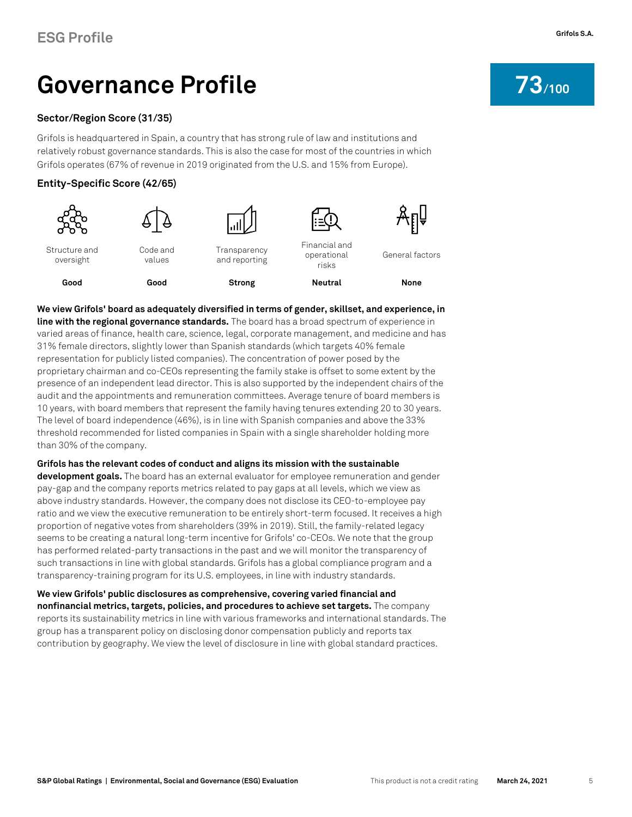# Governance Profile **73**/100

#### **[Sector/Region Score](#page-9-0) (31/35)**

Grifols is headquartered in Spain, a country that has strong rule of law and institutions and relatively robust governance standards. This is also the case for most of the countries in which Grifols operates (67% of revenue in 2019 originated from the U.S. and 15% from Europe).

#### **Entity-Specific Score (42/65)**



**We view Grifols' board as adequately diversified in terms of gender, skillset, and experience, in line with the regional governance standards.** The board has a broad spectrum of experience in varied areas of finance, health care, science, legal, corporate management, and medicine and has 31% female directors, slightly lower than Spanish standards (which targets 40% female representation for publicly listed companies). The concentration of power posed by the proprietary chairman and co-CEOs representing the family stake is offset to some extent by the presence of an independent lead director. This is also supported by the independent chairs of the audit and the appointments and remuneration committees. Average tenure of board members is 10 years, with board members that represent the family having tenures extending 20 to 30 years. The level of board independence (46%), is in line with Spanish companies and above the 33% threshold recommended for listed companies in Spain with a single shareholder holding more than 30% of the company.

#### **Grifols has the relevant codes of conduct and aligns its mission with the sustainable**

**development goals.** The board has an external evaluator for employee remuneration and gender pay-gap and the company reports metrics related to pay gaps at all levels, which we view as above industry standards. However, the company does not disclose its CEO-to-employee pay ratio and we view the executive remuneration to be entirely short-term focused. It receives a high proportion of negative votes from shareholders (39% in 2019). Still, the family-related legacy seems to be creating a natural long-term incentive for Grifols' co-CEOs. We note that the group has performed related-party transactions in the past and we will monitor the transparency of such transactions in line with global standards. Grifols has a global compliance program and a transparency-training program for its U.S. employees, in line with industry standards.

**We view Grifols' public disclosures as comprehensive, covering varied financial and nonfinancial metrics, targets, policies, and procedures to achieve set targets.** The company reports its sustainability metrics in line with various frameworks and international standards. The group has a transparent policy on disclosing donor compensation publicly and reports tax contribution by geography. We view the level of disclosure in line with global standard practices.

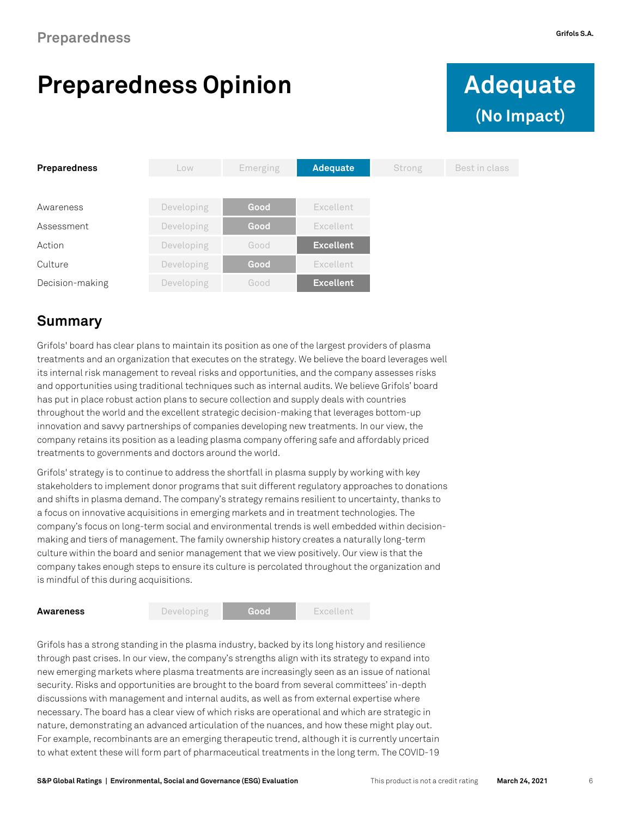# **Preparedness Opinion Adequate**



| Preparedness    | Low        | Emerging | <b>Adequate</b>  | Strong | Best in class |
|-----------------|------------|----------|------------------|--------|---------------|
|                 |            |          |                  |        |               |
| Awareness       | Developing | Good     | Excellent        |        |               |
| Assessment      | Developing | Good     | Excellent        |        |               |
| Action          | Developing | Good     | <b>Excellent</b> |        |               |
| Culture         | Developing | Good     | Excellent        |        |               |
| Decision-making | Developing | Good     | <b>Excellent</b> |        |               |

#### **Summary**

Grifols' board has clear plans to maintain its position as one of the largest providers of plasma treatments and an organization that executes on the strategy. We believe the board leverages well its internal risk management to reveal risks and opportunities, and the company assesses risks and opportunities using traditional techniques such as internal audits. We believe Grifols' board has put in place robust action plans to secure collection and supply deals with countries throughout the world and the excellent strategic decision-making that leverages bottom-up innovation and savvy partnerships of companies developing new treatments. In our view, the company retains its position as a leading plasma company offering safe and affordably priced treatments to governments and doctors around the world.

Grifols' strategy is to continue to address the shortfall in plasma supply by working with key stakeholders to implement donor programs that suit different regulatory approaches to donations and shifts in plasma demand. The company's strategy remains resilient to uncertainty, thanks to a focus on innovative acquisitions in emerging markets and in treatment technologies. The company's focus on long-term social and environmental trends is well embedded within decisionmaking and tiers of management. The family ownership history creates a naturally long-term culture within the board and senior management that we view positively. Our view is that the company takes enough steps to ensure its culture is percolated throughout the organization and is mindful of this during acquisitions.

**Awareness** Developing **Good** Excellent

Grifols has a strong standing in the plasma industry, backed by its long history and resilience through past crises. In our view, the company's strengths align with its strategy to expand into new emerging markets where plasma treatments are increasingly seen as an issue of national security. Risks and opportunities are brought to the board from several committees' in-depth discussions with management and internal audits, as well as from external expertise where necessary. The board has a clear view of which risks are operational and which are strategic in nature, demonstrating an advanced articulation of the nuances, and how these might play out. For example, recombinants are an emerging therapeutic trend, although it is currently uncertain to what extent these will form part of pharmaceutical treatments in the long term. The COVID-19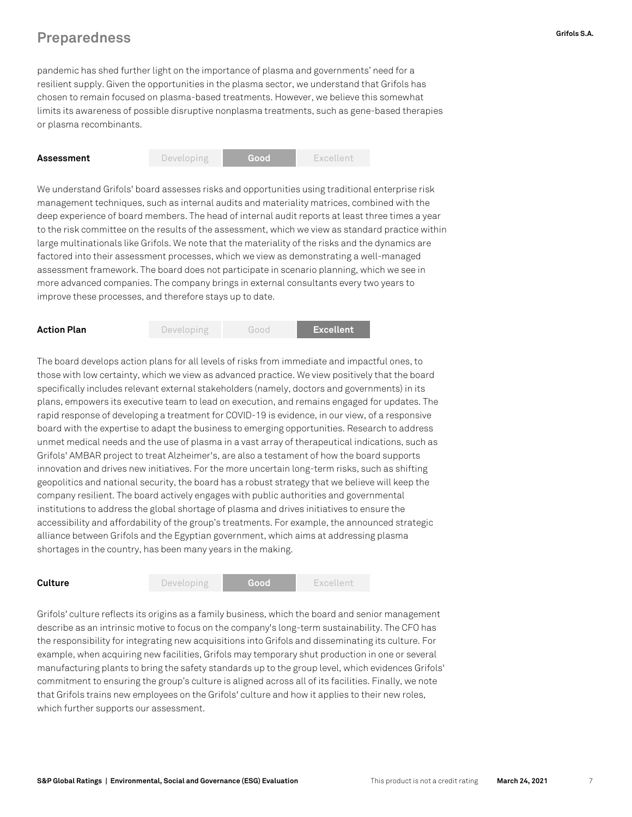#### **Preparedness Grifols S.A.**

pandemic has shed further light on the importance of plasma and governments' need for a resilient supply. Given the opportunities in the plasma sector, we understand that Grifols has chosen to remain focused on plasma-based treatments. However, we believe this somewhat limits its awareness of possible disruptive nonplasma treatments, such as gene-based therapies or plasma recombinants.



We understand Grifols' board assesses risks and opportunities using traditional enterprise risk management techniques, such as internal audits and materiality matrices, combined with the deep experience of board members. The head of internal audit reports at least three times a year to the risk committee on the results of the assessment, which we view as standard practice within large multinationals like Grifols. We note that the materiality of the risks and the dynamics are factored into their assessment processes, which we view as demonstrating a well-managed assessment framework. The board does not participate in scenario planning, which we see in more advanced companies. The company brings in external consultants every two years to improve these processes, and therefore stays up to date.



The board develops action plans for all levels of risks from immediate and impactful ones, to those with low certainty, which we view as advanced practice. We view positively that the board specifically includes relevant external stakeholders (namely, doctors and governments) in its plans, empowers its executive team to lead on execution, and remains engaged for updates. The rapid response of developing a treatment for COVID-19 is evidence, in our view, of a responsive board with the expertise to adapt the business to emerging opportunities. Research to address unmet medical needs and the use of plasma in a vast array of therapeutical indications, such as Grifols' AMBAR project to treat Alzheimer's, are also a testament of how the board supports innovation and drives new initiatives. For the more uncertain long-term risks, such as shifting geopolitics and national security, the board has a robust strategy that we believe will keep the company resilient. The board actively engages with public authorities and governmental institutions to address the global shortage of plasma and drives initiatives to ensure the accessibility and affordability of the group's treatments. For example, the announced strategic alliance between Grifols and the Egyptian government, which aims at addressing plasma shortages in the country, has been many years in the making.



Grifols' culture reflects its origins as a family business, which the board and senior management describe as an intrinsic motive to focus on the company's long-term sustainability. The CFO has the responsibility for integrating new acquisitions into Grifols and disseminating its culture. For example, when acquiring new facilities, Grifols may temporary shut production in one or several manufacturing plants to bring the safety standards up to the group level, which evidences Grifols' commitment to ensuring the group's culture is aligned across all of its facilities. Finally, we note that Grifols trains new employees on the Grifols' culture and how it applies to their new roles, which further supports our assessment.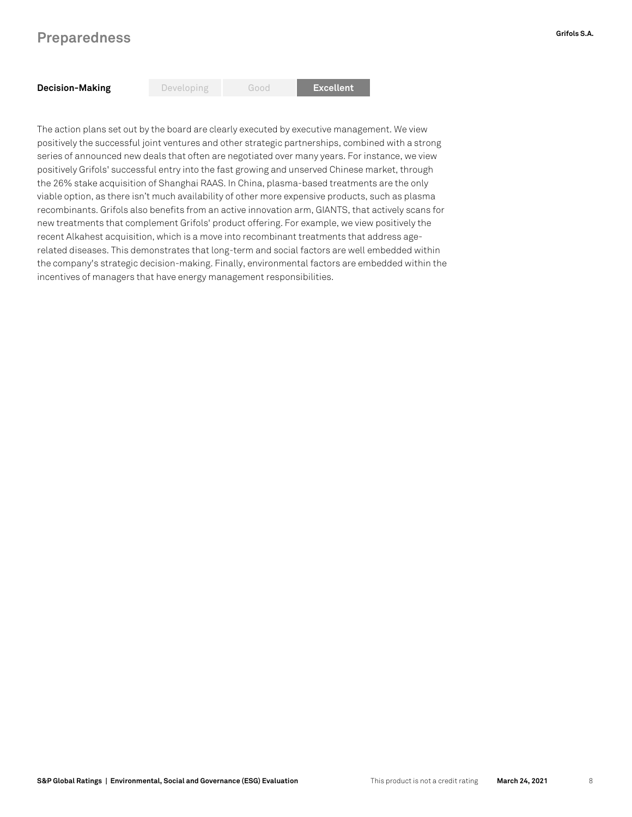#### **Preparedness Grifols S.A.**

The action plans set out by the board are clearly executed by executive management. We view positively the successful joint ventures and other strategic partnerships, combined with a strong series of announced new deals that often are negotiated over many years. For instance, we view positively Grifols' successful entry into the fast growing and unserved Chinese market, through the 26% stake acquisition of Shanghai RAAS. In China, plasma-based treatments are the only viable option, as there isn't much availability of other more expensive products, such as plasma recombinants. Grifols also benefits from an active innovation arm, GIANTS, that actively scans for new treatments that complement Grifols' product offering. For example, we view positively the recent Alkahest acquisition, which is a move into recombinant treatments that address agerelated diseases. This demonstrates that long-term and social factors are well embedded within the company's strategic decision-making. Finally, environmental factors are embedded within the incentives of managers that have energy management responsibilities.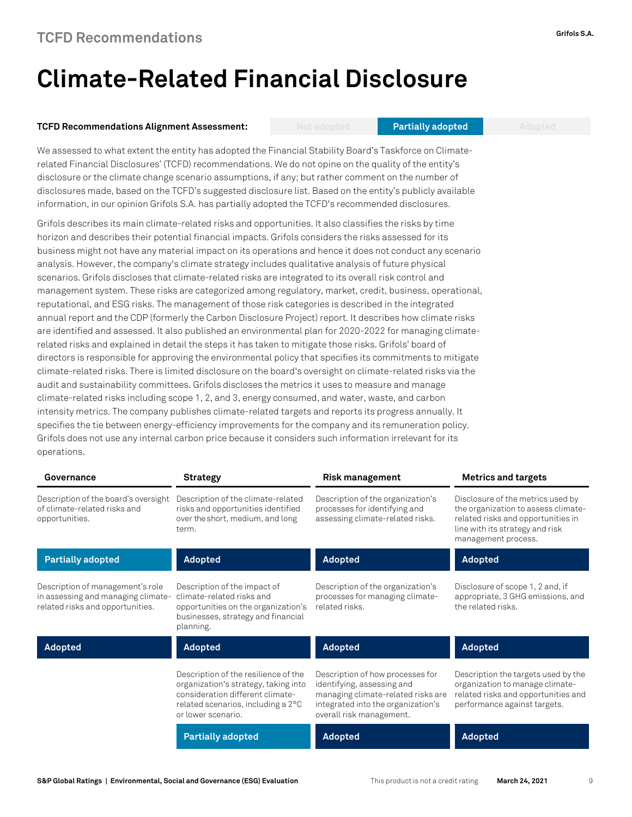### **Climate-Related Financial Disclosure**

#### **TCFD Recommendations Alignment Assessment:** Not adopted **Partially adopted** Adopted

We assessed to what extent the entity has adopted the Financial Stability Board's Taskforce on Climaterelated Financial Disclosures' (TCFD) recommendations. We do not opine on the quality of the entity's disclosure or the climate change scenario assumptions, if any; but rather comment on the number of disclosures made, based on the TCFD's suggested disclosure list. Based on the entity's publicly available information, in our opinion Grifols S.A. has partially adopted the TCFD's recommended disclosures.

Grifols describes its main climate-related risks and opportunities. It also classifies the risks by time horizon and describes their potential financial impacts. Grifols considers the risks assessed for its business might not have any material impact on its operations and hence it does not conduct any scenario analysis. However, the company's climate strategy includes qualitative analysis of future physical scenarios. Grifols discloses that climate-related risks are integrated to its overall risk control and management system. These risks are categorized among regulatory, market, credit, business, operational, reputational, and ESG risks. The management of those risk categories is described in the integrated annual report and the CDP (formerly the Carbon Disclosure Project) report. It describes how climate risks are identified and assessed. It also published an environmental plan for 2020-2022 for managing climaterelated risks and explained in detail the steps it has taken to mitigate those risks. Grifols' board of directors is responsible for approving the environmental policy that specifies its commitments to mitigate climate-related risks. There is limited disclosure on the board's oversight on climate-related risks via the audit and sustainability committees. Grifols discloses the metrics it uses to measure and manage climate-related risks including scope 1, 2, and 3, energy consumed, and water, waste, and carbon intensity metrics. The company publishes climate-related targets and reports its progress annually. It specifies the tie between energy-efficiency improvements for the company and its remuneration policy. Grifols does not use any internal carbon price because it considers such information irrelevant for its operations.

| Governance                                                                                                 | <b>Strategy</b>                                                                                                                                                              | <b>Risk management</b>                                                                                                                                                 | <b>Metrics and targets</b>                                                                                                                                               |
|------------------------------------------------------------------------------------------------------------|------------------------------------------------------------------------------------------------------------------------------------------------------------------------------|------------------------------------------------------------------------------------------------------------------------------------------------------------------------|--------------------------------------------------------------------------------------------------------------------------------------------------------------------------|
| Description of the board's oversight<br>of climate-related risks and<br>opportunities.                     | Description of the climate-related<br>risks and opportunities identified<br>over the short, medium, and long<br>term.                                                        | Description of the organization's<br>processes for identifying and<br>assessing climate-related risks.                                                                 | Disclosure of the metrics used by<br>the organization to assess climate-<br>related risks and opportunities in<br>line with its strategy and risk<br>management process. |
| <b>Partially adopted</b>                                                                                   | Adopted                                                                                                                                                                      | Adopted                                                                                                                                                                | <b>Adopted</b>                                                                                                                                                           |
| Description of management's role<br>in assessing and managing climate-<br>related risks and opportunities. | Description of the impact of<br>climate-related risks and<br>opportunities on the organization's<br>businesses, strategy and financial<br>planning.                          | Description of the organization's<br>processes for managing climate-<br>related risks.                                                                                 | Disclosure of scope 1, 2 and, if<br>appropriate, 3 GHG emissions, and<br>the related risks.                                                                              |
| Adopted                                                                                                    | Adopted                                                                                                                                                                      | Adopted                                                                                                                                                                | <b>Adopted</b>                                                                                                                                                           |
|                                                                                                            | Description of the resilience of the<br>organization's strategy, taking into<br>consideration different climate-<br>related scenarios, including a 2°C<br>or lower scenario. | Description of how processes for<br>identifying, assessing and<br>managing climate-related risks are<br>integrated into the organization's<br>overall risk management. | Description the targets used by the<br>organization to manage climate-<br>related risks and opportunities and<br>performance against targets.                            |
|                                                                                                            | <b>Partially adopted</b>                                                                                                                                                     | Adopted                                                                                                                                                                | Adopted                                                                                                                                                                  |
|                                                                                                            |                                                                                                                                                                              |                                                                                                                                                                        |                                                                                                                                                                          |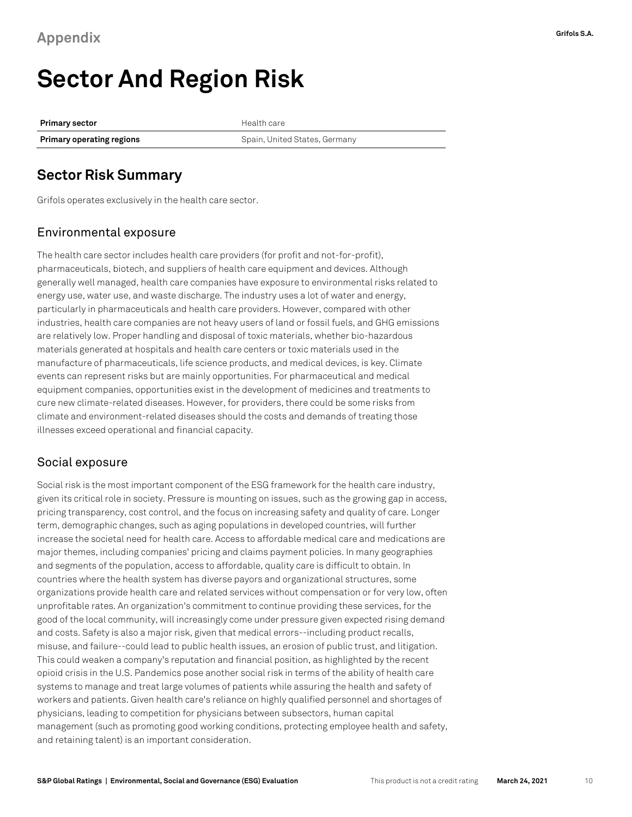### <span id="page-9-0"></span>**Sector And Region Risk**

**Primary sector Health care Primary operating regions Comparished States, Germany** Spain, United States, Germany

#### **Sector Risk Summary**

Grifols operates exclusively in the health care sector.

#### Environmental exposure

The health care sector includes health care providers (for profit and not-for-profit), pharmaceuticals, biotech, and suppliers of health care equipment and devices. Although generally well managed, health care companies have exposure to environmental risks related to energy use, water use, and waste discharge. The industry uses a lot of water and energy, particularly in pharmaceuticals and health care providers. However, compared with other industries, health care companies are not heavy users of land or fossil fuels, and GHG emissions are relatively low. Proper handling and disposal of toxic materials, whether bio-hazardous materials generated at hospitals and health care centers or toxic materials used in the manufacture of pharmaceuticals, life science products, and medical devices, is key. Climate events can represent risks but are mainly opportunities. For pharmaceutical and medical equipment companies, opportunities exist in the development of medicines and treatments to cure new climate-related diseases. However, for providers, there could be some risks from climate and environment-related diseases should the costs and demands of treating those illnesses exceed operational and financial capacity.

#### Social exposure

Social risk is the most important component of the ESG framework for the health care industry, given its critical role in society. Pressure is mounting on issues, such as the growing gap in access, pricing transparency, cost control, and the focus on increasing safety and quality of care. Longer term, demographic changes, such as aging populations in developed countries, will further increase the societal need for health care. Access to affordable medical care and medications are major themes, including companies' pricing and claims payment policies. In many geographies and segments of the population, access to affordable, quality care is difficult to obtain. In countries where the health system has diverse payors and organizational structures, some organizations provide health care and related services without compensation or for very low, often unprofitable rates. An organization's commitment to continue providing these services, for the good of the local community, will increasingly come under pressure given expected rising demand and costs. Safety is also a major risk, given that medical errors--including product recalls, misuse, and failure--could lead to public health issues, an erosion of public trust, and litigation. This could weaken a company's reputation and financial position, as highlighted by the recent opioid crisis in the U.S. Pandemics pose another social risk in terms of the ability of health care systems to manage and treat large volumes of patients while assuring the health and safety of workers and patients. Given health care's reliance on highly qualified personnel and shortages of physicians, leading to competition for physicians between subsectors, human capital management (such as promoting good working conditions, protecting employee health and safety, and retaining talent) is an important consideration.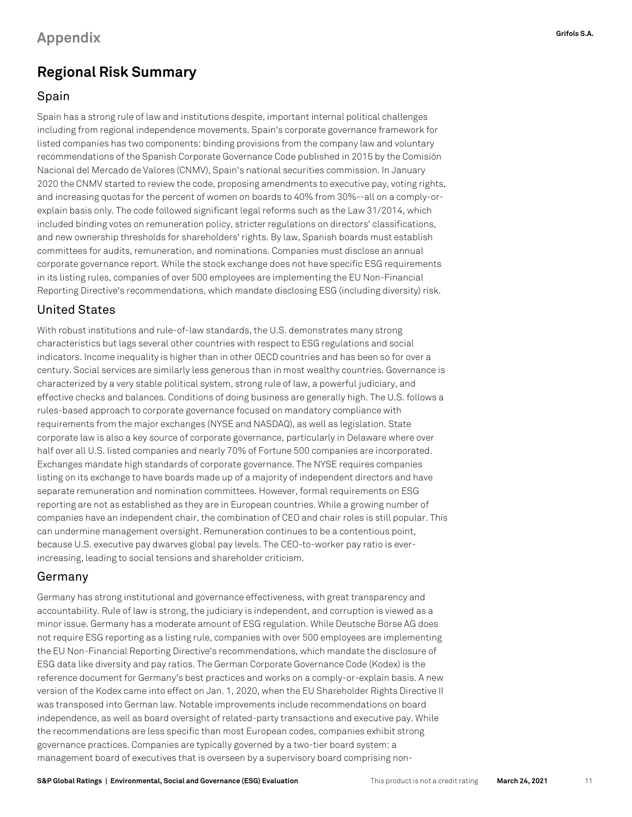### **Regional Risk Summary**

#### Spain

Spain has a strong rule of law and institutions despite, important internal political challenges including from regional independence movements. Spain's corporate governance framework for listed companies has two components: binding provisions from the company law and voluntary recommendations of the Spanish Corporate Governance Code published in 2015 by the Comisión Nacional del Mercado de Valores (CNMV), Spain's national securities commission. In January 2020 the CNMV started to review the code, proposing amendments to executive pay, voting rights, and increasing quotas for the percent of women on boards to 40% from 30%--all on a comply-orexplain basis only. The code followed significant legal reforms such as the Law 31/2014, which included binding votes on remuneration policy, stricter regulations on directors' classifications, and new ownership thresholds for shareholders' rights. By law, Spanish boards must establish committees for audits, remuneration, and nominations. Companies must disclose an annual corporate governance report. While the stock exchange does not have specific ESG requirements in its listing rules, companies of over 500 employees are implementing the EU Non-Financial Reporting Directive's recommendations, which mandate disclosing ESG (including diversity) risk.

#### United States

With robust institutions and rule-of-law standards, the U.S. demonstrates many strong characteristics but lags several other countries with respect to ESG regulations and social indicators. Income inequality is higher than in other OECD countries and has been so for over a century. Social services are similarly less generous than in most wealthy countries. Governance is characterized by a very stable political system, strong rule of law, a powerful judiciary, and effective checks and balances. Conditions of doing business are generally high. The U.S. follows a rules-based approach to corporate governance focused on mandatory compliance with requirements from the major exchanges (NYSE and NASDAQ), as well as legislation. State corporate law is also a key source of corporate governance, particularly in Delaware where over half over all U.S. listed companies and nearly 70% of Fortune 500 companies are incorporated. Exchanges mandate high standards of corporate governance. The NYSE requires companies listing on its exchange to have boards made up of a majority of independent directors and have separate remuneration and nomination committees. However, formal requirements on ESG reporting are not as established as they are in European countries. While a growing number of companies have an independent chair, the combination of CEO and chair roles is still popular. This can undermine management oversight. Remuneration continues to be a contentious point, because U.S. executive pay dwarves global pay levels. The CEO-to-worker pay ratio is everincreasing, leading to social tensions and shareholder criticism.

#### Germany

Germany has strong institutional and governance effectiveness, with great transparency and accountability. Rule of law is strong, the judiciary is independent, and corruption is viewed as a minor issue. Germany has a moderate amount of ESG regulation. While Deutsche Börse AG does not require ESG reporting as a listing rule, companies with over 500 employees are implementing the EU Non-Financial Reporting Directive's recommendations, which mandate the disclosure of ESG data like diversity and pay ratios. The German Corporate Governance Code (Kodex) is the reference document for Germany's best practices and works on a comply-or-explain basis. A new version of the Kodex came into effect on Jan. 1, 2020, when the EU Shareholder Rights Directive II was transposed into German law. Notable improvements include recommendations on board independence, as well as board oversight of related-party transactions and executive pay. While the recommendations are less specific than most European codes, companies exhibit strong governance practices. Companies are typically governed by a two-tier board system: a management board of executives that is overseen by a supervisory board comprising non-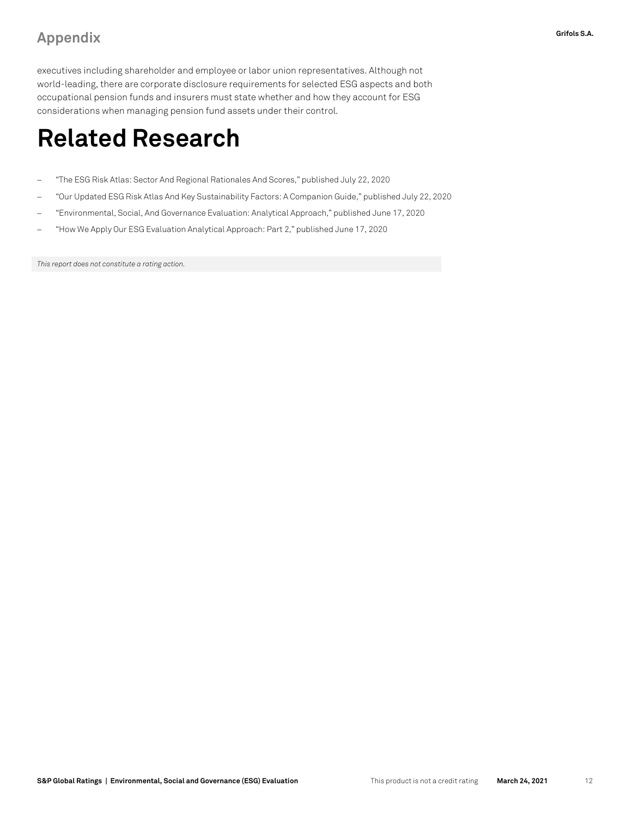### **Appendix Grifols S.A.**

executives including shareholder and employee or labor union representatives. Although not world-leading, there are corporate disclosure requirements for selected ESG aspects and both occupational pension funds and insurers must state whether and how they account for ESG considerations when managing pension fund assets under their control.

### **Related Research**

- − "The ESG Risk Atlas: Sector And Regional Rationales And Scores," published July 22, 2020
- − "Our Updated ESG Risk Atlas And Key Sustainability Factors: A Companion Guide," published July 22, 2020
- − "Environmental, Social, And Governance Evaluation: Analytical Approach," published June 17, 2020
- − "How We Apply Our ESG Evaluation Analytical Approach: Part 2," published June 17, 2020

*This report does not constitute a rating action.*